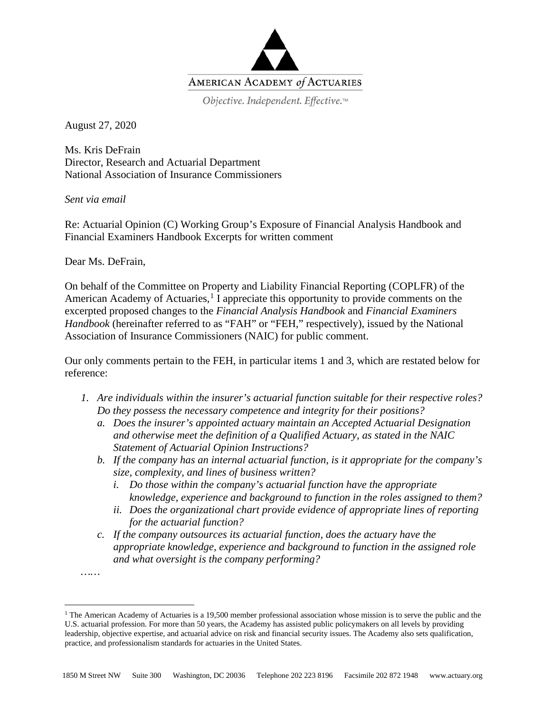

Objective. Independent. Effective.™

August 27, 2020

Ms. Kris DeFrain Director, Research and Actuarial Department National Association of Insurance Commissioners

*Sent via email* 

Re: Actuarial Opinion (C) Working Group's Exposure of Financial Analysis Handbook and Financial Examiners Handbook Excerpts for written comment

Dear Ms. DeFrain,

*……*

On behalf of the Committee on Property and Liability Financial Reporting (COPLFR) of the American Academy of Actuaries,<sup>[1](#page-0-0)</sup> I appreciate this opportunity to provide comments on the excerpted proposed changes to the *Financial Analysis Handbook* and *Financial Examiners Handbook* (hereinafter referred to as "FAH" or "FEH," respectively), issued by the National Association of Insurance Commissioners (NAIC) for public comment.

Our only comments pertain to the FEH, in particular items 1 and 3, which are restated below for reference:

- *1. Are individuals within the insurer's actuarial function suitable for their respective roles? Do they possess the necessary competence and integrity for their positions?*
	- *a. Does the insurer's appointed actuary maintain an Accepted Actuarial Designation and otherwise meet the definition of a Qualified Actuary, as stated in the NAIC Statement of Actuarial Opinion Instructions?*
	- *b. If the company has an internal actuarial function, is it appropriate for the company's size, complexity, and lines of business written?*
		- *i. Do those within the company's actuarial function have the appropriate knowledge, experience and background to function in the roles assigned to them?*
		- *ii. Does the organizational chart provide evidence of appropriate lines of reporting for the actuarial function?*
	- *c. If the company outsources its actuarial function, does the actuary have the appropriate knowledge, experience and background to function in the assigned role and what oversight is the company performing?*

<span id="page-0-0"></span><sup>&</sup>lt;sup>1</sup> The American Academy of Actuaries is a 19,500 member professional association whose mission is to serve the public and the U.S. actuarial profession. For more than 50 years, the Academy has assisted public policymakers on all levels by providing leadership, objective expertise, and actuarial advice on risk and financial security issues. The Academy also sets qualification, practice, and professionalism standards for actuaries in the United States.